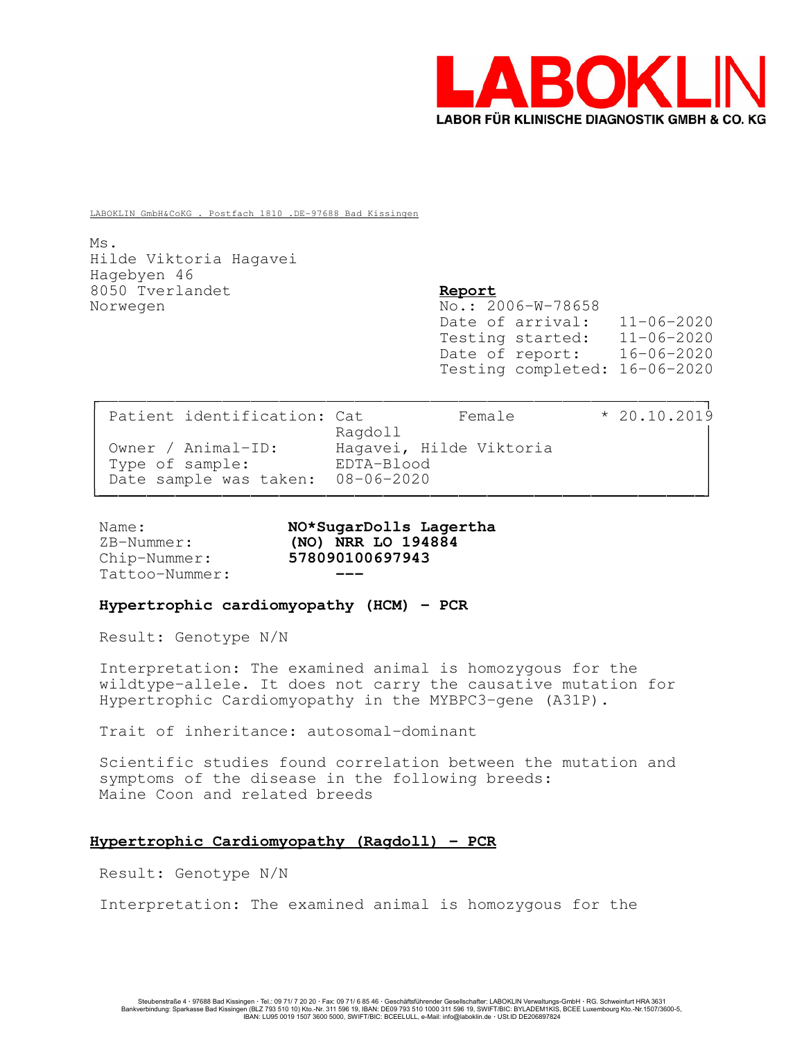

LABOKLIN GmbH&CoKG . Postfach 1810 .DE-97688 Bad Kissingen

Ms. Hilde Viktoria Hagavei Hagebyen 46 8050 Tverlandet Report Norwegen No.: 2006-W-78658

Date of arrival: 11-06-2020 Testing started: 11-06-2020 Date of report: 16-06-2020 Testing completed: 16-06-2020

| Patient identification: Cat       | Female                  | $* 20.10.2019$ |
|-----------------------------------|-------------------------|----------------|
|                                   | Ragdoll                 |                |
| Owner / Animal-ID:                | Hagavei, Hilde Viktoria |                |
| Type of sample:                   | EDTA-Blood              |                |
| Date sample was taken: 08-06-2020 |                         |                |
|                                   |                         |                |

Tattoo-Nummer:

Name: Not Not SugarDolls Lagertha ZB-Nummer: (NO) NRR LO 194884 Chip-Nummer: 578090100697943

#### Hypertrophic cardiomyopathy (HCM) - PCR

Result: Genotype N/N

Interpretation: The examined animal is homozygous for the wildtype-allele. It does not carry the causative mutation for Hypertrophic Cardiomyopathy in the MYBPC3-gene (A31P).

Trait of inheritance: autosomal-dominant

Scientific studies found correlation between the mutation and symptoms of the disease in the following breeds: Maine Coon and related breeds

## Hypertrophic Cardiomyopathy (Ragdoll) - PCR

Result: Genotype N/N

Interpretation: The examined animal is homozygous for the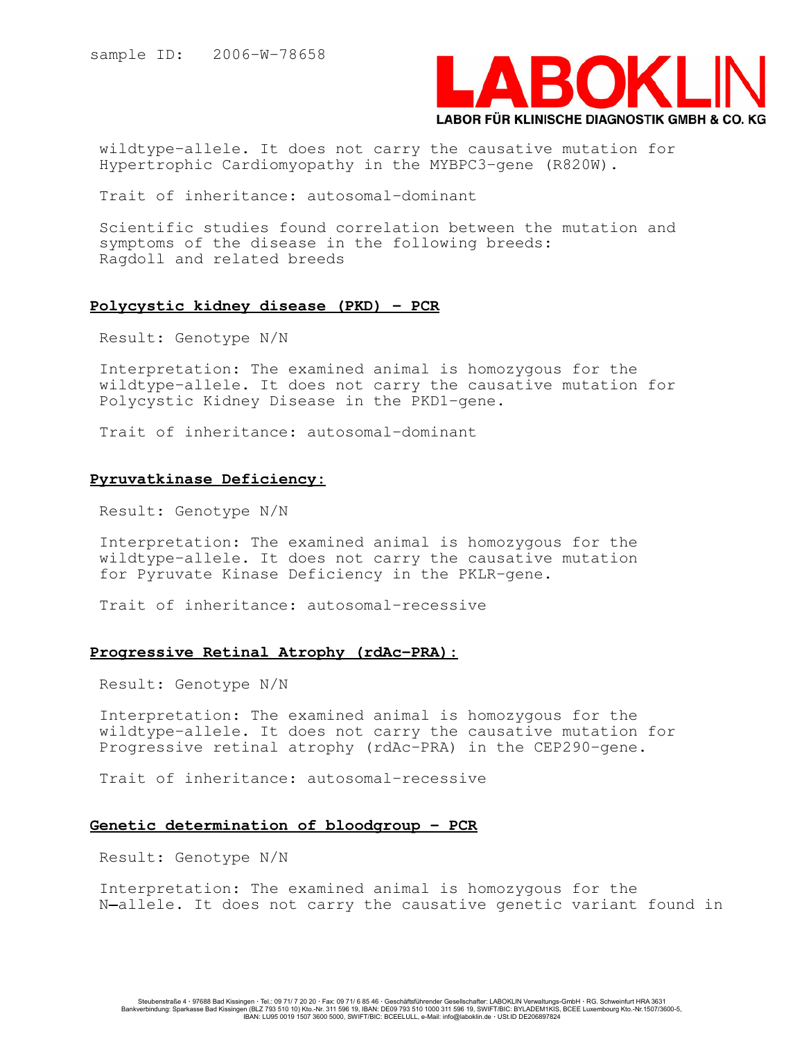

wildtype-allele. It does not carry the causative mutation for Hypertrophic Cardiomyopathy in the MYBPC3-gene (R820W).

Trait of inheritance: autosomal-dominant

Scientific studies found correlation between the mutation and symptoms of the disease in the following breeds: Ragdoll and related breeds

#### Polycystic kidney disease (PKD) - PCR

Result: Genotype N/N

Interpretation: The examined animal is homozygous for the wildtype-allele. It does not carry the causative mutation for Polycystic Kidney Disease in the PKD1-gene.

Trait of inheritance: autosomal-dominant

# Pyruvatkinase Deficiency:

Result: Genotype N/N

Interpretation: The examined animal is homozygous for the wildtype-allele. It does not carry the causative mutation for Pyruvate Kinase Deficiency in the PKLR-gene.

Trait of inheritance: autosomal-recessive

## Progressive Retinal Atrophy (rdAc-PRA):

Result: Genotype N/N

Interpretation: The examined animal is homozygous for the wildtype-allele. It does not carry the causative mutation for Progressive retinal atrophy (rdAc-PRA) in the CEP290-gene.

Trait of inheritance: autosomal-recessive

## Genetic determination of bloodgroup - PCR

Result: Genotype N/N

Interpretation: The examined animal is homozygous for the N-allele. It does not carry the causative genetic variant found in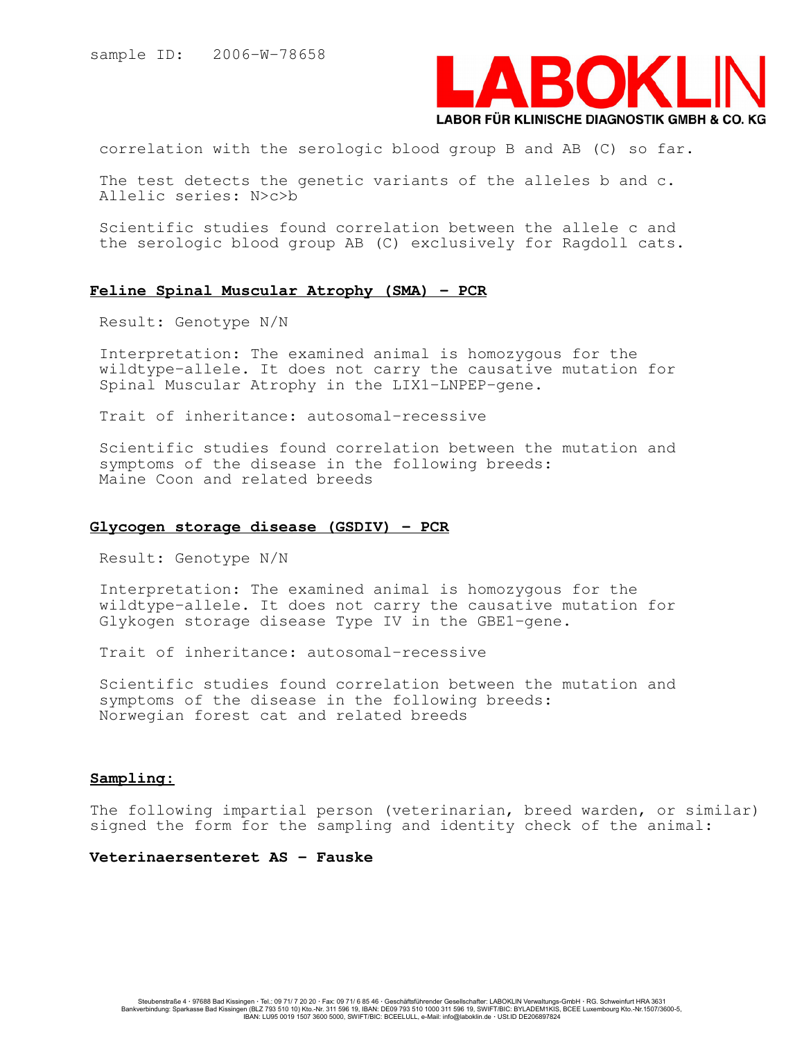

correlation with the serologic blood group B and AB (C) so far.

The test detects the genetic variants of the alleles b and c. Allelic series: N>c>b

Scientific studies found correlation between the allele c and the serologic blood group AB (C) exclusively for Ragdoll cats.

#### Feline Spinal Muscular Atrophy (SMA) - PCR

Result: Genotype N/N

Interpretation: The examined animal is homozygous for the wildtype-allele. It does not carry the causative mutation for Spinal Muscular Atrophy in the LIX1-LNPEP-gene.

Trait of inheritance: autosomal-recessive

Scientific studies found correlation between the mutation and symptoms of the disease in the following breeds: Maine Coon and related breeds

#### Glycogen storage disease (GSDIV) - PCR

Result: Genotype N/N

Interpretation: The examined animal is homozygous for the wildtype-allele. It does not carry the causative mutation for Glykogen storage disease Type IV in the GBE1-gene.

Trait of inheritance: autosomal-recessive

Scientific studies found correlation between the mutation and symptoms of the disease in the following breeds: Norwegian forest cat and related breeds

## Sampling:

The following impartial person (veterinarian, breed warden, or similar) signed the form for the sampling and identity check of the animal:

Veterinaersenteret AS - Fauske